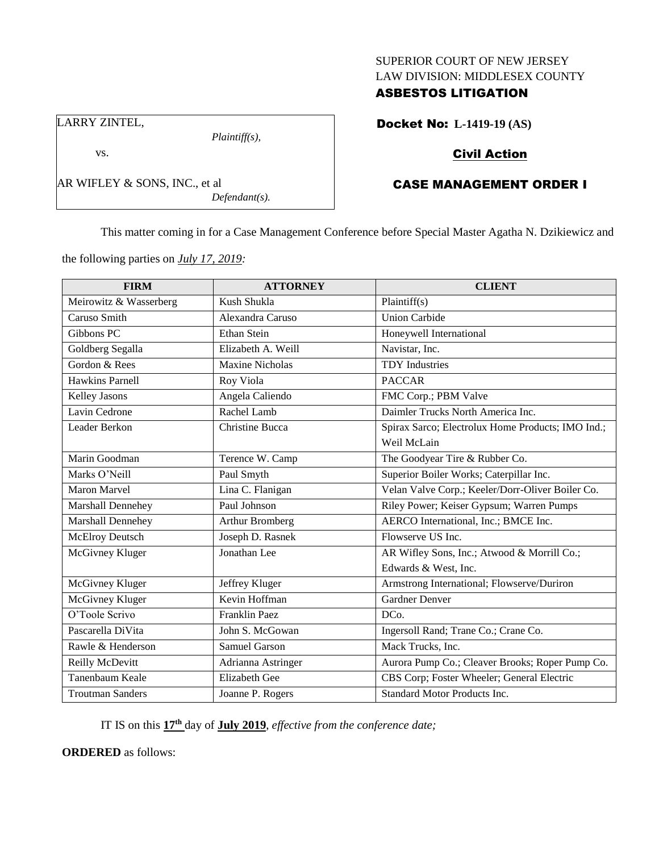## SUPERIOR COURT OF NEW JERSEY LAW DIVISION: MIDDLESEX COUNTY

## ASBESTOS LITIGATION

Docket No: **L-1419-19 (AS)**

# Civil Action

# CASE MANAGEMENT ORDER I

This matter coming in for a Case Management Conference before Special Master Agatha N. Dzikiewicz and

the following parties on *July 17, 2019:*

AR WIFLEY & SONS, INC., et al

*Plaintiff(s),*

*Defendant(s).*

LARRY ZINTEL,

vs.

| <b>FIRM</b>             | <b>ATTORNEY</b>        | <b>CLIENT</b>                                     |
|-------------------------|------------------------|---------------------------------------------------|
| Meirowitz & Wasserberg  | Kush Shukla            | Plaintiff(s)                                      |
| Caruso Smith            | Alexandra Caruso       | <b>Union Carbide</b>                              |
| Gibbons PC              | <b>Ethan Stein</b>     | Honeywell International                           |
| Goldberg Segalla        | Elizabeth A. Weill     | Navistar, Inc.                                    |
| Gordon & Rees           | Maxine Nicholas        | <b>TDY</b> Industries                             |
| <b>Hawkins Parnell</b>  | Roy Viola              | <b>PACCAR</b>                                     |
| Kelley Jasons           | Angela Caliendo        | FMC Corp.; PBM Valve                              |
| Lavin Cedrone           | Rachel Lamb            | Daimler Trucks North America Inc.                 |
| Leader Berkon           | <b>Christine Bucca</b> | Spirax Sarco; Electrolux Home Products; IMO Ind.; |
|                         |                        | Weil McLain                                       |
| Marin Goodman           | Terence W. Camp        | The Goodyear Tire & Rubber Co.                    |
| Marks O'Neill           | Paul Smyth             | Superior Boiler Works; Caterpillar Inc.           |
| Maron Marvel            | Lina C. Flanigan       | Velan Valve Corp.; Keeler/Dorr-Oliver Boiler Co.  |
| Marshall Dennehey       | Paul Johnson           | Riley Power; Keiser Gypsum; Warren Pumps          |
| Marshall Dennehey       | <b>Arthur Bromberg</b> | AERCO International, Inc.; BMCE Inc.              |
| <b>McElroy Deutsch</b>  | Joseph D. Rasnek       | Flowserve US Inc.                                 |
| McGivney Kluger         | Jonathan Lee           | AR Wifley Sons, Inc.; Atwood & Morrill Co.;       |
|                         |                        | Edwards & West, Inc.                              |
| McGivney Kluger         | Jeffrey Kluger         | Armstrong International; Flowserve/Duriron        |
| McGivney Kluger         | Kevin Hoffman          | <b>Gardner Denver</b>                             |
| O'Toole Scrivo          | <b>Franklin Paez</b>   | DCo.                                              |
| Pascarella DiVita       | John S. McGowan        | Ingersoll Rand; Trane Co.; Crane Co.              |
| Rawle & Henderson       | <b>Samuel Garson</b>   | Mack Trucks, Inc.                                 |
| Reilly McDevitt         | Adrianna Astringer     | Aurora Pump Co.; Cleaver Brooks; Roper Pump Co.   |
| Tanenbaum Keale         | Elizabeth Gee          | CBS Corp; Foster Wheeler; General Electric        |
| <b>Troutman Sanders</b> | Joanne P. Rogers       | <b>Standard Motor Products Inc.</b>               |

IT IS on this **17th** day of **July 2019**, *effective from the conference date;*

**ORDERED** as follows: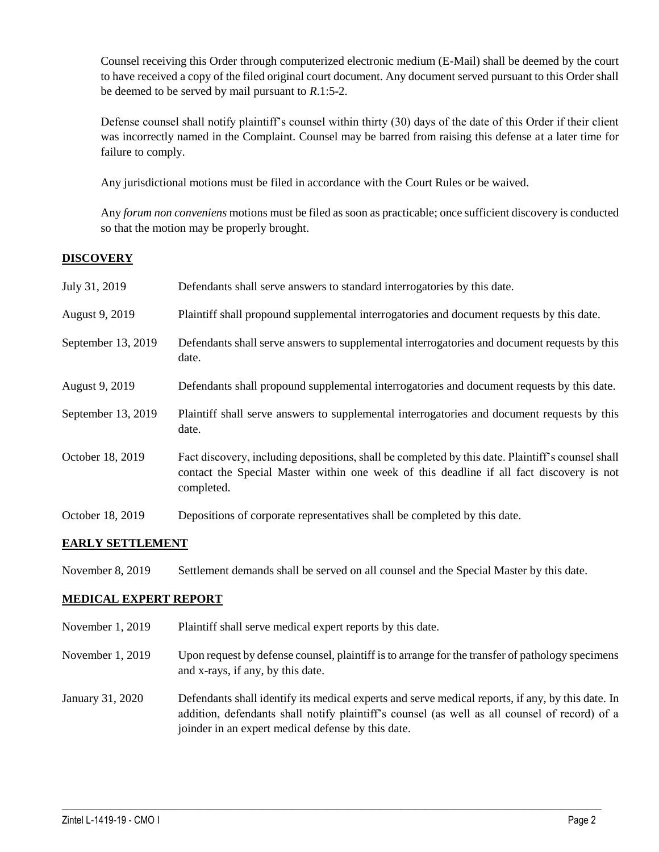Counsel receiving this Order through computerized electronic medium (E-Mail) shall be deemed by the court to have received a copy of the filed original court document. Any document served pursuant to this Order shall be deemed to be served by mail pursuant to *R*.1:5-2.

Defense counsel shall notify plaintiff's counsel within thirty (30) days of the date of this Order if their client was incorrectly named in the Complaint. Counsel may be barred from raising this defense at a later time for failure to comply.

Any jurisdictional motions must be filed in accordance with the Court Rules or be waived.

Any *forum non conveniens* motions must be filed as soon as practicable; once sufficient discovery is conducted so that the motion may be properly brought.

## **DISCOVERY**

| July 31, 2019      | Defendants shall serve answers to standard interrogatories by this date.                                                                                                                                    |
|--------------------|-------------------------------------------------------------------------------------------------------------------------------------------------------------------------------------------------------------|
| August 9, 2019     | Plaintiff shall propound supplemental interrogatories and document requests by this date.                                                                                                                   |
| September 13, 2019 | Defendants shall serve answers to supplemental interrogatories and document requests by this<br>date.                                                                                                       |
| August 9, 2019     | Defendants shall propound supplemental interrogatories and document requests by this date.                                                                                                                  |
| September 13, 2019 | Plaintiff shall serve answers to supplemental interrogatories and document requests by this<br>date.                                                                                                        |
| October 18, 2019   | Fact discovery, including depositions, shall be completed by this date. Plaintiff's counsel shall<br>contact the Special Master within one week of this deadline if all fact discovery is not<br>completed. |
| October 18, 2019   | Depositions of corporate representatives shall be completed by this date.                                                                                                                                   |

## **EARLY SETTLEMENT**

November 8, 2019 Settlement demands shall be served on all counsel and the Special Master by this date.

## **MEDICAL EXPERT REPORT**

- November 1, 2019 Plaintiff shall serve medical expert reports by this date.
- November 1, 2019 Upon request by defense counsel, plaintiff is to arrange for the transfer of pathology specimens and x-rays, if any, by this date.
- January 31, 2020 Defendants shall identify its medical experts and serve medical reports, if any, by this date. In addition, defendants shall notify plaintiff's counsel (as well as all counsel of record) of a joinder in an expert medical defense by this date.

 $\_$  , and the set of the set of the set of the set of the set of the set of the set of the set of the set of the set of the set of the set of the set of the set of the set of the set of the set of the set of the set of th